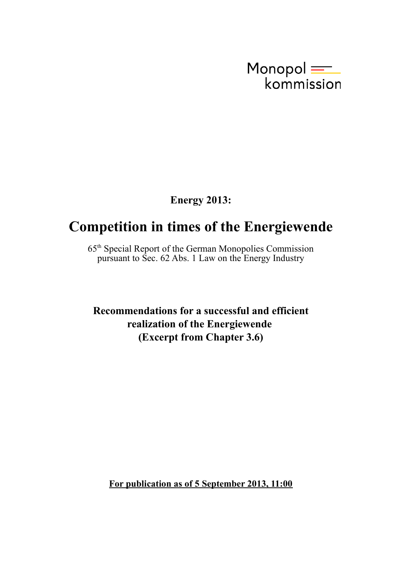

**Energy 2013:**

## **Competition in times of the Energiewende**

65th Special Report of the German Monopolies Commission pursuant to Sec. 62 Abs. 1 Law on the Energy Industry

**Recommendations for a successful and efficient realization of the Energiewende (Excerpt from Chapter 3.6)**

**For publication as of 5 September 2013, 11:00**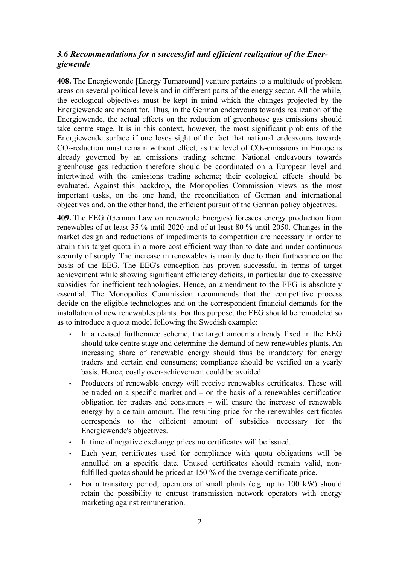## *3.6 Recommendations for a successful and efficient realization of the Energiewende*

**408.** The Energiewende [Energy Turnaround] venture pertains to a multitude of problem areas on several political levels and in different parts of the energy sector. All the while, the ecological objectives must be kept in mind which the changes projected by the Energiewende are meant for. Thus, in the German endeavours towards realization of the Energiewende, the actual effects on the reduction of greenhouse gas emissions should take centre stage. It is in this context, however, the most significant problems of the Energiewende surface if one loses sight of the fact that national endeavours towards  $CO<sub>2</sub>$ -reduction must remain without effect, as the level of  $CO<sub>2</sub>$ -emissions in Europe is already governed by an emissions trading scheme. National endeavours towards greenhouse gas reduction therefore should be coordinated on a European level and intertwined with the emissions trading scheme; their ecological effects should be evaluated. Against this backdrop, the Monopolies Commission views as the most important tasks, on the one hand, the reconciliation of German and international objectives and, on the other hand, the efficient pursuit of the German policy objectives.

**409.** The EEG (German Law on renewable Energies) foresees energy production from renewables of at least 35 % until 2020 and of at least 80 % until 2050. Changes in the market design and reductions of impediments to competition are necessary in order to attain this target quota in a more cost-efficient way than to date and under continuous security of supply. The increase in renewables is mainly due to their furtherance on the basis of the EEG. The EEG's conception has proven successful in terms of target achievement while showing significant efficiency deficits, in particular due to excessive subsidies for inefficient technologies. Hence, an amendment to the EEG is absolutely essential. The Monopolies Commission recommends that the competitive process decide on the eligible technologies and on the correspondent financial demands for the installation of new renewables plants. For this purpose, the EEG should be remodeled so as to introduce a quota model following the Swedish example:

- In a revised furtherance scheme, the target amounts already fixed in the EEG should take centre stage and determine the demand of new renewables plants. An increasing share of renewable energy should thus be mandatory for energy traders and certain end consumers; compliance should be verified on a yearly basis. Hence, costly over-achievement could be avoided.
- Producers of renewable energy will receive renewables certificates. These will be traded on a specific market and – on the basis of a renewables certification obligation for traders and consumers – will ensure the increase of renewable energy by a certain amount. The resulting price for the renewables certificates corresponds to the efficient amount of subsidies necessary for the Energiewende's objectives.
- In time of negative exchange prices no certificates will be issued.
- Each year, certificates used for compliance with quota obligations will be annulled on a specific date. Unused certificates should remain valid, nonfulfilled quotas should be priced at 150 % of the average certificate price.
- For a transitory period, operators of small plants (e.g. up to 100 kW) should retain the possibility to entrust transmission network operators with energy marketing against remuneration.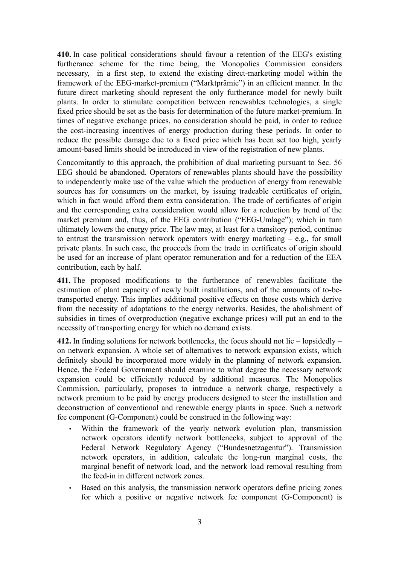**410.** In case political considerations should favour a retention of the EEG's existing furtherance scheme for the time being, the Monopolies Commission considers necessary, in a first step, to extend the existing direct-marketing model within the framework of the EEG-market-premium ("Marktprämie") in an efficient manner. In the future direct marketing should represent the only furtherance model for newly built plants. In order to stimulate competition between renewables technologies, a single fixed price should be set as the basis for determination of the future market-premium. In times of negative exchange prices, no consideration should be paid, in order to reduce the cost-increasing incentives of energy production during these periods. In order to reduce the possible damage due to a fixed price which has been set too high, yearly amount-based limits should be introduced in view of the registration of new plants.

Concomitantly to this approach, the prohibition of dual marketing pursuant to Sec. 56 EEG should be abandoned. Operators of renewables plants should have the possibility to independently make use of the value which the production of energy from renewable sources has for consumers on the market, by issuing tradeable certificates of origin, which in fact would afford them extra consideration. The trade of certificates of origin and the corresponding extra consideration would allow for a reduction by trend of the market premium and, thus, of the EEG contribution ("EEG-Umlage"); which in turn ultimately lowers the energy price. The law may, at least for a transitory period, continue to entrust the transmission network operators with energy marketing – e.g., for small private plants. In such case, the proceeds from the trade in certificates of origin should be used for an increase of plant operator remuneration and for a reduction of the EEA contribution, each by half.

**411.** The proposed modifications to the furtherance of renewables facilitate the estimation of plant capacity of newly built installations, and of the amounts of to-betransported energy. This implies additional positive effects on those costs which derive from the necessity of adaptations to the energy networks. Besides, the abolishment of subsidies in times of overproduction (negative exchange prices) will put an end to the necessity of transporting energy for which no demand exists.

**412.** In finding solutions for network bottlenecks, the focus should not lie – lopsidedly – on network expansion. A whole set of alternatives to network expansion exists, which definitely should be incorporated more widely in the planning of network expansion. Hence, the Federal Government should examine to what degree the necessary network expansion could be efficiently reduced by additional measures. The Monopolies Commission, particularly, proposes to introduce a network charge, respectively a network premium to be paid by energy producers designed to steer the installation and deconstruction of conventional and renewable energy plants in space. Such a network fee component (G-Component) could be construed in the following way:

- Within the framework of the yearly network evolution plan, transmission network operators identify network bottlenecks, subject to approval of the Federal Network Regulatory Agency ("Bundesnetzagentur"). Transmission network operators, in addition, calculate the long-run marginal costs, the marginal benefit of network load, and the network load removal resulting from the feed-in in different network zones.
- Based on this analysis, the transmission network operators define pricing zones for which a positive or negative network fee component (G-Component) is